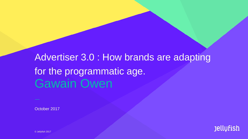# Gawain Owen Advertiser 3.0 : How brands are adapting for the programmatic age.

October 2017



© Jellyfish 2017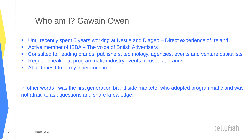#### Who am I? Gawain Owen

- Until recently spent 5 years working at Nestle and Diageo Direct experience of Ireland
- Active member of ISBA The voice of British Advertisers
- Consulted for leading brands, publishers, technology, agencies, events and venture capitalists
- Regular speaker at programmatic industry events focused at brands
- At all times I trust my inner consumer

In other words I was the first generation brand side marketer who adopted programmatic and was not afraid to ask questions and share knowledge.

**Jellufish**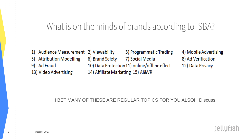# What is on the minds of brands according to ISBA?

Audience Measurement 2) Viewability 3) Programmatic Trading 4) Mobile Advertising 1) **Attribution Modelling** 6) Brand Safety 7) Social Media 8) Ad Verification 5) Ad Fraud 10) Data Protection 11) online/offline effect 12) Data Privacy 9) 13) Video Advertising 14) Affiliate Marketing 15) AI&VR

I BET MANY OF THESE ARE REGULAR TOPICS FOR YOU ALSO!! Discuss

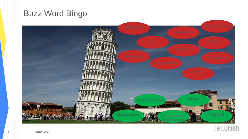





October 2017

and the control of

and the control of the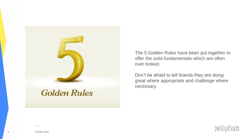

**Golden Rules** 

The 5 Golden Rules have been put together to offer the solid fundamentals which are often over looked.

Don't be afraid to tell brands they are doing great where appropriate and challenge where necessary.

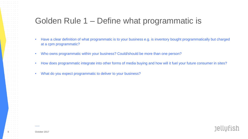## Golden Rule 1 – Define what programmatic is

- Have a clear definition of what programmatic is to your business e.g. is inventory bought programmatically but charged at a cpm programmatic?
- Who owns programmatic within your business? Could/should be more than one person?
- How does programmatic integrate into other forms of media buying and how will it fuel your future consumer in sites?

**Jellufish** 

• What do you expect programmatic to deliver to your business?

and the control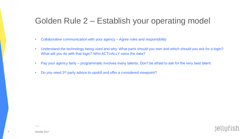# Golden Rule 2 – Establish your operating model

- Collaborative communication with your agency Agree roles and responsibility
- Understand the technology being used and why. What parts should you own and which should you ask for a login? What will you do with that login? Who ACTUALLY owns the data?

**Jellufish** 

- Pay your agency fairly programmatic involves many talents. Don't be afraid to ask for the very best talent.
- Do you need 3<sup>rd</sup> party advice to upskill and offer a considered viewpoint?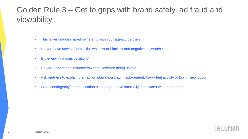# Golden Rule 3 – Get to grips with brand safety, ad fraud and viewability

- This is very much shared ownership with your agency partners
- Do you have access/control the whitelist or blacklist and negative keywords?
- Is viewability a consideration?
- Do you understand/influence/own the software being used?
- Ask partners to explain their action plan should ad misplacement, fraudulent activity or low in view occur

**Jellufish** 

• What contingency/communication plan do you have internally if the worst was to happen?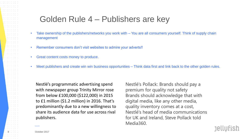#### Golden Rule 4 – Publishers are key

- Take ownership of the publishers/networks you work with You are all consumers yourself. Think of supply chain management
- Remember consumers don't visit websites to admire your adverts!!
- Great content costs money to produce.
- Meet publishers and create win win business opportunities Think data first and link back to the other golden rules.

Nestlé's programmatic advertising spend with newspaper group Trinity Mirror rose from below £100,000 (\$122,000) in 2015 to £1 million (\$1.2 million) in 2016. That's predominantly due to a new willingness to share its audience data for use across rival publishers.

Nestlé's Pollack: Brands should pay a premium for quality not safety Brands should acknowledge that with digital media, like any other media, quality inventory comes at a cost, Nestlé's head of media communications for UK and Ireland, Steve Pollack told Media360.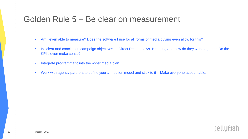### Golden Rule 5 – Be clear on measurement

- Am I even able to measure? Does the software I use for all forms of media buying even allow for this?
- Be clear and concise on campaign objectives --- Direct Response vs. Branding and how do they work together. Do the KPI's even make sense?

**Jellufish** 

- Integrate programmatic into the wider media plan.
- Work with agency partners to define your attribution model and stick to it Make everyone accountable.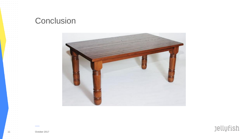#### **Conclusion**

المنابذ المنابذ المنابذ المنابذ

and the control of

 $\mathcal{L}=\mathcal{L}=\mathcal{L}$  .

a contracto de la and the control of

and a strategic and

contract and a state  $\alpha$  , and  $\alpha$  , and  $\alpha$  $\alpha$  , and  $\alpha$  , and  $\alpha$ and a state of the

> and the control and the control  $\mathcal{A}^{\mathcal{A}}$  and  $\mathcal{A}^{\mathcal{A}}$  and  $\mathcal{A}^{\mathcal{A}}$  $\mathcal{A}^{\mathcal{A}}$  and  $\mathcal{A}^{\mathcal{A}}$  and  $\mathcal{A}^{\mathcal{A}}$  $\mathcal{A}^{\mathcal{A}}$  and  $\mathcal{A}^{\mathcal{A}}$  and  $\mathcal{A}^{\mathcal{A}}$ and the conand the control

**Contract Contract Contract** 

 $\alpha$  , and  $\alpha$  , and  $\alpha$  , and  $\alpha$